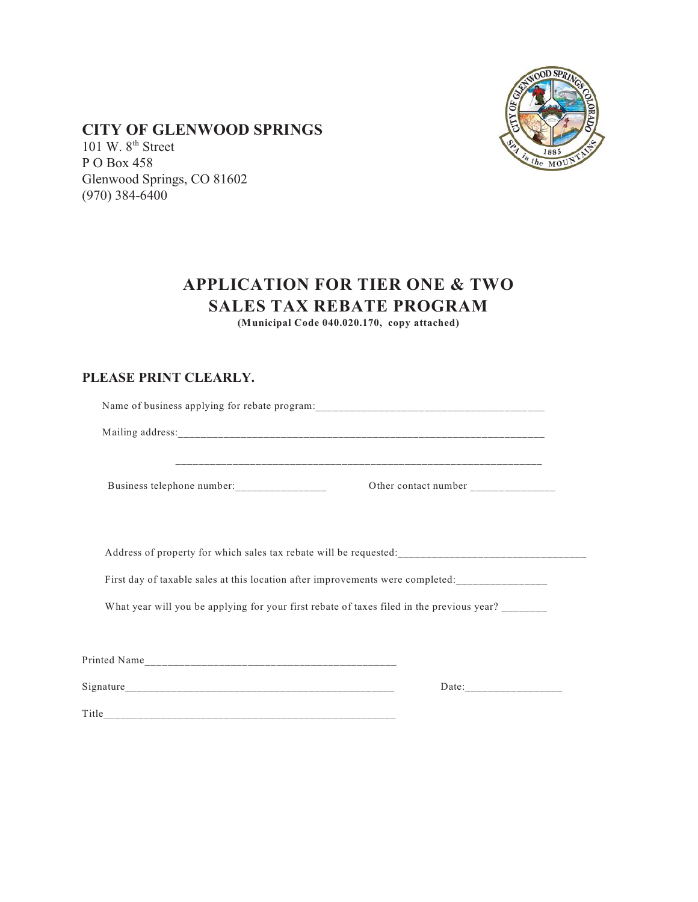

## **CITY OF GLENWOOD SPRINGS**

101 W.  $8<sup>th</sup>$  Street P O Box 458 Glenwood Springs, CO 81602 (970) 384-6400

## **APPLICATION FOR TIER ONE & TWO SALES TAX REBATE PROGRAM**

**(Municipal Code 040.020.170, copy attached)**

## **PLEASE PRINT CLEARLY.**

| Business telephone number: | Other contact number _______________                                                      |
|----------------------------|-------------------------------------------------------------------------------------------|
|                            |                                                                                           |
|                            | What year will you be applying for your first rebate of taxes filed in the previous year? |
|                            |                                                                                           |
|                            |                                                                                           |
|                            |                                                                                           |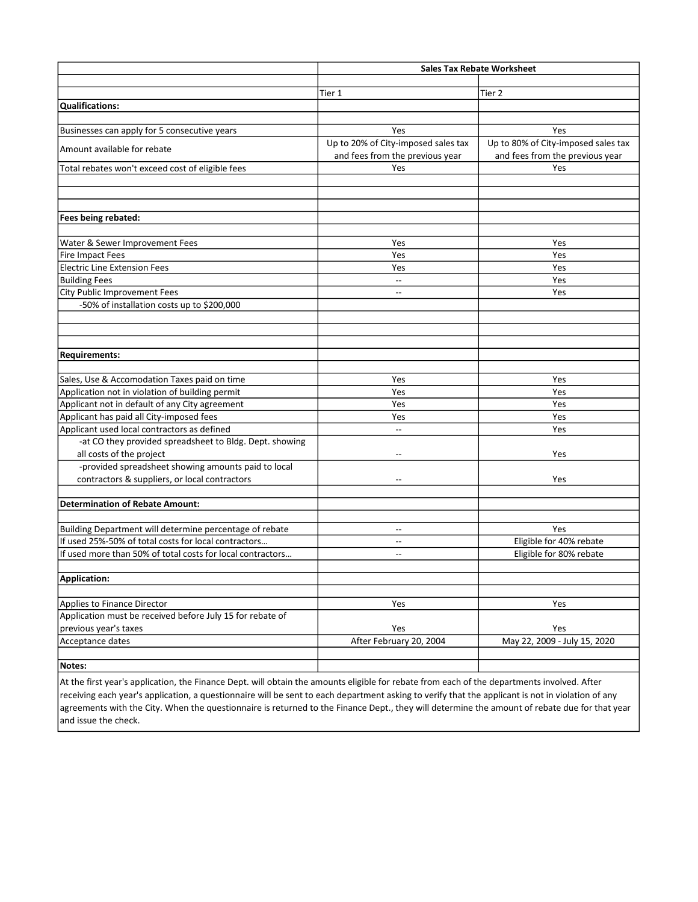|                                                            | <b>Sales Tax Rebate Worksheet</b>                                      |                                                                        |
|------------------------------------------------------------|------------------------------------------------------------------------|------------------------------------------------------------------------|
|                                                            |                                                                        |                                                                        |
|                                                            | Tier 1                                                                 | Tier 2                                                                 |
| Qualifications:                                            |                                                                        |                                                                        |
|                                                            |                                                                        |                                                                        |
| Businesses can apply for 5 consecutive years               | Yes                                                                    | Yes                                                                    |
| Amount available for rebate                                | Up to 20% of City-imposed sales tax<br>and fees from the previous year | Up to 80% of City-imposed sales tax<br>and fees from the previous year |
| Total rebates won't exceed cost of eligible fees           | Yes                                                                    | Yes                                                                    |
|                                                            |                                                                        |                                                                        |
|                                                            |                                                                        |                                                                        |
|                                                            |                                                                        |                                                                        |
| Fees being rebated:                                        |                                                                        |                                                                        |
|                                                            |                                                                        |                                                                        |
| Water & Sewer Improvement Fees                             | Yes                                                                    | Yes                                                                    |
| <b>Fire Impact Fees</b>                                    | Yes                                                                    | Yes                                                                    |
| <b>Electric Line Extension Fees</b>                        | Yes                                                                    | Yes                                                                    |
| <b>Building Fees</b>                                       | $\overline{a}$                                                         | Yes                                                                    |
| <b>City Public Improvement Fees</b>                        |                                                                        | Yes                                                                    |
| -50% of installation costs up to \$200,000                 |                                                                        |                                                                        |
|                                                            |                                                                        |                                                                        |
|                                                            |                                                                        |                                                                        |
|                                                            |                                                                        |                                                                        |
| <b>Requirements:</b>                                       |                                                                        |                                                                        |
|                                                            |                                                                        |                                                                        |
| Sales, Use & Accomodation Taxes paid on time               | Yes                                                                    | Yes                                                                    |
| Application not in violation of building permit            | Yes                                                                    | Yes                                                                    |
| Applicant not in default of any City agreement             | Yes                                                                    | Yes                                                                    |
| Applicant has paid all City-imposed fees                   | Yes                                                                    | Yes                                                                    |
| Applicant used local contractors as defined                | $\overline{a}$                                                         | Yes                                                                    |
| -at CO they provided spreadsheet to Bldg. Dept. showing    |                                                                        |                                                                        |
| all costs of the project                                   |                                                                        | Yes                                                                    |
| -provided spreadsheet showing amounts paid to local        |                                                                        |                                                                        |
| contractors & suppliers, or local contractors              | $\overline{a}$                                                         | Yes                                                                    |
|                                                            |                                                                        |                                                                        |
| <b>Determination of Rebate Amount:</b>                     |                                                                        |                                                                        |
|                                                            |                                                                        |                                                                        |
| Building Department will determine percentage of rebate    | $\sim$ $\sim$                                                          | Yes                                                                    |
| If used 25%-50% of total costs for local contractors       | $\hspace{0.05cm} -\hspace{0.05cm} -\hspace{0.05cm}$                    | Eligible for 40% rebate                                                |
| If used more than 50% of total costs for local contractors | $\overline{a}$                                                         | Eligible for 80% rebate                                                |
|                                                            |                                                                        |                                                                        |
| Application:                                               |                                                                        |                                                                        |
|                                                            |                                                                        |                                                                        |
| Applies to Finance Director                                | Yes                                                                    | Yes                                                                    |
| Application must be received before July 15 for rebate of  |                                                                        |                                                                        |
| previous year's taxes                                      | Yes                                                                    | Yes                                                                    |
| Acceptance dates                                           | After February 20, 2004                                                | May 22, 2009 - July 15, 2020                                           |
|                                                            |                                                                        |                                                                        |
| Notes:                                                     |                                                                        |                                                                        |

At the first year's application, the Finance Dept. will obtain the amounts eligible for rebate from each of the departments involved. After  $\vert$ receiving each year's application, a questionnaire will be sent to each department asking to verify that the applicant is not in violation of any agreements with the City. When the questionnaire is returned to the Finance Dept., they will determine the amount of rebate due for that year and issue the check.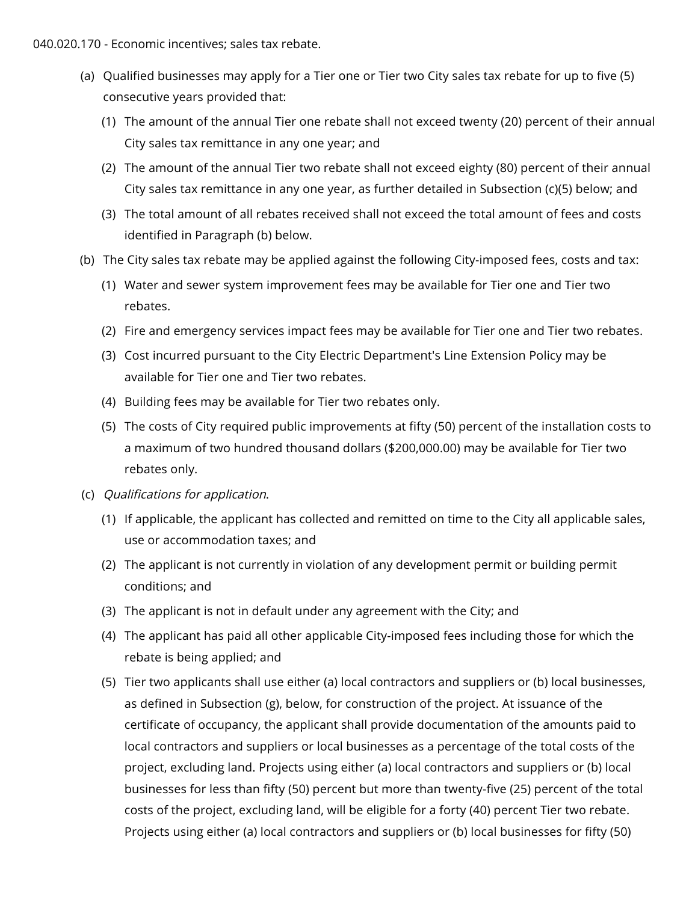040.020.170 - Economic incentives; sales tax rebate.

- (a) Qualified businesses may apply for a Tier one or Tier two City sales tax rebate for up to five (5) consecutive years provided that:
	- (1) The amount of the annual Tier one rebate shall not exceed twenty (20) percent of their annual City sales tax remittance in any one year; and
	- (2) The amount of the annual Tier two rebate shall not exceed eighty (80) percent of their annual City sales tax remittance in any one year, as further detailed in Subsection (c)(5) below; and
	- (3) The total amount of all rebates received shall not exceed the total amount of fees and costs identified in Paragraph (b) below.
- (b) The City sales tax rebate may be applied against the following City-imposed fees, costs and tax:
	- (1) Water and sewer system improvement fees may be available for Tier one and Tier two rebates.
	- (2) Fire and emergency services impact fees may be available for Tier one and Tier two rebates.
	- (3) Cost incurred pursuant to the City Electric Department's Line Extension Policy may be available for Tier one and Tier two rebates.
	- (4) Building fees may be available for Tier two rebates only.
	- (5) The costs of City required public improvements at fifty (50) percent of the installation costs to a maximum of two hundred thousand dollars (\$200,000.00) may be available for Tier two rebates only.
- (c) Qualifications for application.
	- (1) If applicable, the applicant has collected and remitted on time to the City all applicable sales, use or accommodation taxes; and
	- (2) The applicant is not currently in violation of any development permit or building permit conditions; and
	- (3) The applicant is not in default under any agreement with the City; and
	- (4) The applicant has paid all other applicable City-imposed fees including those for which the rebate is being applied; and
	- (5) Tier two applicants shall use either (a) local contractors and suppliers or (b) local businesses, as defined in Subsection (g), below, for construction of the project. At issuance of the certificate of occupancy, the applicant shall provide documentation of the amounts paid to local contractors and suppliers or local businesses as a percentage of the total costs of the project, excluding land. Projects using either (a) local contractors and suppliers or (b) local businesses for less than fifty (50) percent but more than twenty-five (25) percent of the total costs of the project, excluding land, will be eligible for a forty (40) percent Tier two rebate. Projects using either (a) local contractors and suppliers or (b) local businesses for fifty (50)